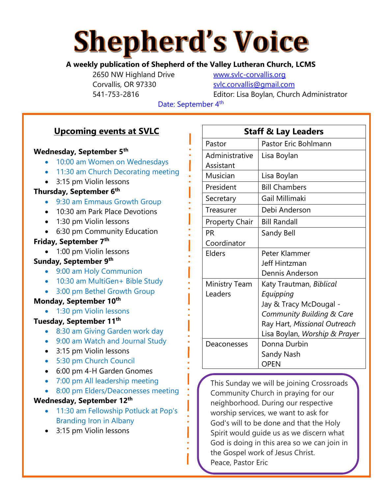# **Shepherd's Voice**

# **A weekly publication of Shepherd of the Valley Lutheran Church, LCMS**

2650 NW Highland Drive [www.svlc-corvallis.org](http://www.svlc-corvallis.org/) Corvallis, OR 97330 [svlc.corvallis@gmail.com](mailto:svlc.corvallis@gmail.com)

541-753-2816 Editor: Lisa Boylan, Church Administrator

Date: September 4<sup>th</sup>

# **Upcoming events at SVLC**

#### **Wednesday, September 5th**

- 10:00 am Women on Wednesdays
- 11:30 am Church Decorating meeting
- 3:15 pm Violin lessons

#### **Thursday, September 6th**

- 9:30 am Emmaus Growth Group
- 10:30 am Park Place Devotions
- 1:30 pm Violin lessons
- 6:30 pm Community Education

#### **Friday, September 7th**

• 1:00 pm Violin lessons

#### **Sunday, September 9th**

- 9:00 am Holy Communion
- 10:30 am MultiGen+ Bible Study
- 3:00 pm Bethel Growth Group

#### **Monday, September 10th**

• 1:30 pm Violin lessons

# **Tuesday, September 11th**

- 8:30 am Giving Garden work day
- 9:00 am Watch and Journal Study
- 3:15 pm Violin lessons
- 5:30 pm Church Council
- 6:00 pm 4-H Garden Gnomes
- 7:00 pm All leadership meeting
- 8:00 pm Elders/Deaconesses meeting

#### **Wednesday, September 12th**

- 11:30 am Fellowship Potluck at Pop's Branding Iron in Albany
- 3:15 pm Violin lessons

| <b>Staff &amp; Lay Leaders</b> |                                          |  |  |  |  |  |  |
|--------------------------------|------------------------------------------|--|--|--|--|--|--|
| Pastor                         | Pastor Eric Bohlmann                     |  |  |  |  |  |  |
| Administrative                 | Lisa Boylan                              |  |  |  |  |  |  |
| Assistant                      |                                          |  |  |  |  |  |  |
| Musician                       | Lisa Boylan                              |  |  |  |  |  |  |
| President                      | <b>Bill Chambers</b>                     |  |  |  |  |  |  |
| Secretary                      | Gail Millimaki                           |  |  |  |  |  |  |
| Treasurer                      | Debi Anderson                            |  |  |  |  |  |  |
| <b>Property Chair</b>          | <b>Bill Randall</b>                      |  |  |  |  |  |  |
| <b>PR</b>                      | Sandy Bell                               |  |  |  |  |  |  |
| Coordinator                    |                                          |  |  |  |  |  |  |
| Elders                         | Peter Klammer                            |  |  |  |  |  |  |
|                                | Jeff Hintzman                            |  |  |  |  |  |  |
|                                | Dennis Anderson                          |  |  |  |  |  |  |
| <b>Ministry Team</b>           | Katy Trautman, Biblical                  |  |  |  |  |  |  |
| Leaders                        | Equipping                                |  |  |  |  |  |  |
|                                | Jay & Tracy McDougal -                   |  |  |  |  |  |  |
|                                | Community Building & Care                |  |  |  |  |  |  |
|                                | Ray Hart, Missional Outreach             |  |  |  |  |  |  |
|                                | Lisa Boylan, <i>Worship &amp; Prayer</i> |  |  |  |  |  |  |
| Deaconesses                    | Donna Durbin                             |  |  |  |  |  |  |
|                                | Sandy Nash                               |  |  |  |  |  |  |
|                                | <b>OPEN</b>                              |  |  |  |  |  |  |

This Sunday we will be joining Crossroads Community Church in praying for our neighborhood. During our respective worship services, we want to ask for God's will to be done and that the Holy Spirit would guide us as we discern what God is doing in this area so we can join in the Gospel work of Jesus Christ. Peace, Pastor Eric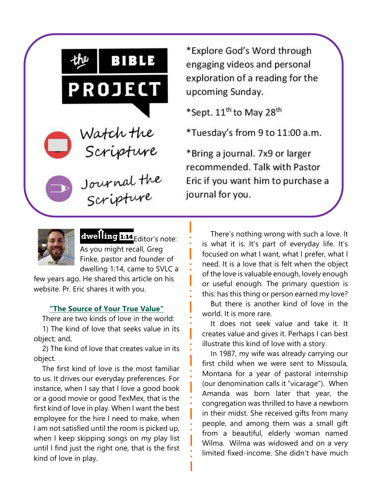

\*Explore God's Word through engaging videos and personal exploration of a reading for the upcoming Sunday.

\*Sept. 11<sup>th</sup> to May 28<sup>th</sup>

\*Tuesday's from 9 to 11:00 a.m.

\*Bring a journal. 7x9 or larger recommended. Talk with Pastor Eric if you want him to purchase a journal for you.



dwelling 1:14 Editor's note: As you might recall, Greg Finke, pastor and founder of dwelling 1:14, came to SVLC a

few years ago. He shared this article on his website. Pr. Eric shares it with you.

#### **["The Source of Your True Value"](https://dwelling114.org/blog/2018/8/31/the-source-of-your-true-value)**

There are two kinds of love in the world:

1) The kind of love that seeks value in its object; and,

2) The kind of love that creates value in its object.

The first kind of love is the most familiar to us. It drives our everyday preferences. For instance, when I say that I love a good book or a good movie or good TexMex, that is the first kind of love in play. When I want the best employee for the hire I need to make, when I am not satisfied until the room is picked up, when I keep skipping songs on my play list until I find just the right one, that is the first kind of love in play.

There's nothing wrong with such a love. It is what it is. It's part of everyday life. It's focused on what I want, what I prefer, what I need. It is a love that is felt when the object of the love is valuable enough, lovely enough or useful enough. The primary question is this: has this thing or person earned my love?

But there is another kind of love in the world. It is more rare.

It does not seek value and take it. It creates value and gives it. Perhaps I can best illustrate this kind of love with a story.

In 1987, my wife was already carrying our first child when we were sent to Missoula, Montana for a year of pastoral internship (our denomination calls it "vicarage"). When Amanda was born later that year, the congregation was thrilled to have a newborn in their midst. She received gifts from many people, and among them was a small gift from a beautiful, elderly woman named Wilma. Wilma was widowed and on a very limited fixed-income. She didn't have much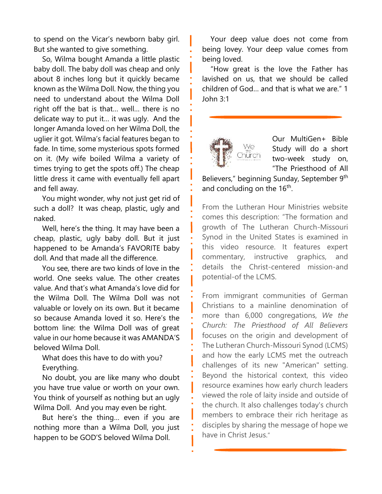to spend on the Vicar's newborn baby girl. But she wanted to give something.

So, Wilma bought Amanda a little plastic baby doll. The baby doll was cheap and only about 8 inches long but it quickly became known as the Wilma Doll. Now, the thing you need to understand about the Wilma Doll right off the bat is that… well… there is no delicate way to put it… it was ugly. And the longer Amanda loved on her Wilma Doll, the uglier it got. Wilma's facial features began to fade. In time, some mysterious spots formed on it. (My wife boiled Wilma a variety of times trying to get the spots off.) The cheap little dress it came with eventually fell apart and fell away.

You might wonder, why not just get rid of such a doll? It was cheap, plastic, ugly and naked.

Well, here's the thing. It may have been a cheap, plastic, ugly baby doll. But it just happened to be Amanda's FAVORITE baby doll. And that made all the difference.

You see, there are two kinds of love in the world. One seeks value. The other creates value. And that's what Amanda's love did for the Wilma Doll. The Wilma Doll was not valuable or lovely on its own. But it became so because Amanda loved it so. Here's the bottom line: the Wilma Doll was of great value in our home because it was AMANDA'S beloved Wilma Doll.

What does this have to do with you? Everything.

No doubt, you are like many who doubt you have true value or worth on your own. You think of yourself as nothing but an ugly Wilma Doll. And you may even be right.

But here's the thing… even if you are nothing more than a Wilma Doll, you just happen to be GOD'S beloved Wilma Doll.

Your deep value does not come from being lovey. Your deep value comes from being loved.

"How great is the love the Father has lavished on us, that we should be called children of God… and that is what we are." 1 John 3:1



Our MultiGen+ Bible Study will do a short two-week study on, "The Priesthood of All

Believers," beginning Sunday, September 9<sup>th</sup> and concluding on the  $16<sup>th</sup>$ .

From the Lutheran Hour Ministries website comes this description: "The formation and growth of The Lutheran Church-Missouri Synod in the United States is examined in this video resource. It features expert commentary, instructive graphics, and details the Christ-centered mission-and potential-of the LCMS.

From immigrant communities of German Christians to a mainline denomination of more than 6,000 congregations, *We the Church: The Priesthood of All Believers* focuses on the origin and development of The Lutheran Church-Missouri Synod (LCMS) and how the early LCMS met the outreach challenges of its new "American" setting. Beyond the historical context, this video resource examines how early church leaders viewed the role of laity inside and outside of the church. It also challenges today's church members to embrace their rich heritage as disciples by sharing the message of hope we have in Christ Jesus."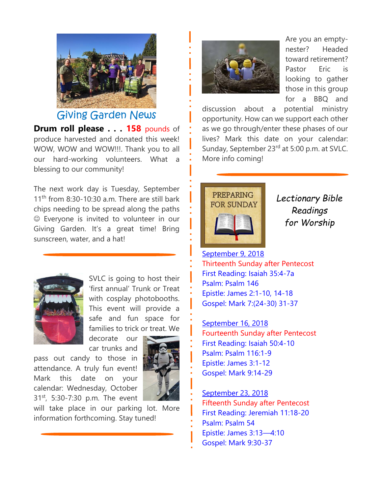

# Giving Garden News

**Drum roll please . . . 158 pounds of** produce harvested and donated this week! WOW, WOW and WOW!!!. Thank you to all our hard-working volunteers. What a blessing to our community!

The next work day is Tuesday, September  $11<sup>th</sup>$  from 8:30-10:30 a.m. There are still bark chips needing to be spread along the paths ☺ Everyone is invited to volunteer in our Giving Garden. It's a great time! Bring sunscreen, water, and a hat!



SVLC is going to host their 'first annual' Trunk or Treat with cosplay photobooths. This event will provide a safe and fun space for families to trick or treat. We

decorate our car trunks and

pass out candy to those in attendance. A truly fun event! Mark this date on your calendar: Wednesday, October 31<sup>st</sup>, 5:30-7:30 p.m. The event



will take place in our parking lot. More information forthcoming. Stay tuned!



Are you an emptynester? Headed toward retirement? Pastor Eric is looking to gather those in this group for a BBQ and

discussion about a potential ministry opportunity. How can we support each other as we go through/enter these phases of our lives? Mark this date on your calendar: Sunday, September 23<sup>rd</sup> at 5:00 p.m. at SVLC. More info coming!



*Lectionary Bible Readings for Worship*

September 9, 2018 Thirteenth Sunday after Pentecost First Reading: Isaiah 35:4-7a Psalm: Psalm 146 Epistle: James 2:1-10, 14-18 Gospel: Mark 7:(24-30) 31-37

September 16, 2018 Fourteenth Sunday after Pentecost First Reading: Isaiah 50:4-10 Psalm: Psalm 116:1-9 Epistle: James 3:1-12 Gospel: Mark 9:14-29

September 23, 2018 Fifteenth Sunday after Pentecost First Reading: Jeremiah 11:18-20 Psalm: Psalm 54 Epistle: James 3:13—4:10 Gospel: Mark 9:30-37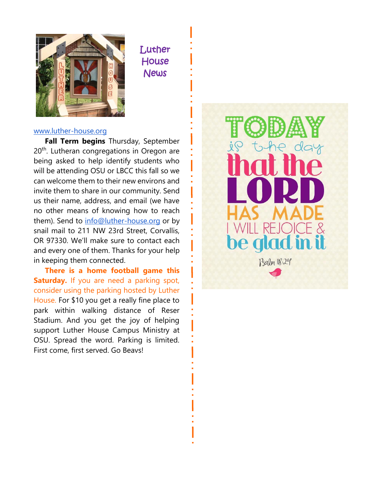

Luther **House News** 

#### [www.luther-house.org](http://www.luther-house.org/)

**Fall Term begins** Thursday, September 20<sup>th</sup>. Lutheran congregations in Oregon are being asked to help identify students who will be attending OSU or LBCC this fall so we can welcome them to their new environs and invite them to share in our community. Send us their name, address, and email (we have no other means of knowing how to reach them). Send to [info@luther-house.org](mailto:info@luther-house.org) or by snail mail to 211 NW 23rd Street, Corvallis, OR 97330. We'll make sure to contact each and every one of them. Thanks for your help in keeping them connected.

**There is a home football game this Saturday.** If you are need a parking spot, consider using the parking hosted by Luther House. For \$10 you get a really fine place to park within walking distance of Reser Stadium. And you get the joy of helping support Luther House Campus Ministry at OSU. Spread the word. Parking is limited. First come, first served. Go Beavs!

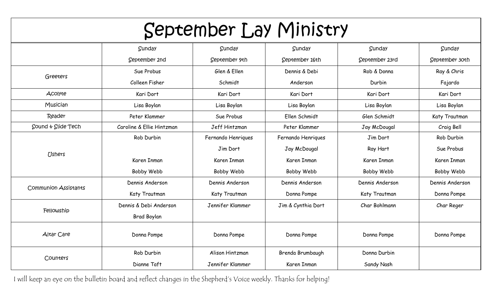| September Lay Ministry           |                           |                    |                    |                 |                 |  |  |  |  |  |
|----------------------------------|---------------------------|--------------------|--------------------|-----------------|-----------------|--|--|--|--|--|
|                                  | Sunday                    | Sunday             | Sunday             | Sunday          | Sunday          |  |  |  |  |  |
|                                  | September 2nd             | September 9th      | September 16th     | September 23rd  | September 30th  |  |  |  |  |  |
| Greeters                         | Sue Probus                | Glen & Ellen       | Dennis & Debi      | Rob & Donna     | Ray & Chris     |  |  |  |  |  |
|                                  | Colleen Fisher            | Schmidt            | Anderson           | Durbin          | Fajardo         |  |  |  |  |  |
| <b>ACOIYte</b>                   | Kari Dort                 | Kari Dort          | Kari Dort          | Kari Dort       | Kari Dort       |  |  |  |  |  |
| Musician                         | Lisa Boylan               | Lisa Boylan        | Lisa Boylan        | Lisa Boylan     | Lisa Boylan     |  |  |  |  |  |
| Reader                           | Peter Klammer             | Sue Probus         | Ellen Schmidt      | Glen Schmidt    | Katy Trautman   |  |  |  |  |  |
| $Sound \triangleleft$ Slide Tech | Caroline & Ellie Hintzman | Jeff Hintzman      | Peter Klammer      | Jay McDougal    | Craig Bell      |  |  |  |  |  |
| <b>Ushers</b>                    | Rob Durbin                | Fernando Henriques | Fernando Henriques | Jim Dort        | Rob Durbin      |  |  |  |  |  |
|                                  |                           | Jim Dort           | Jay McDougal       | Ray Hart        | Sue Probus      |  |  |  |  |  |
|                                  | Karen Inman               | Karen Inman        | Karen Inman        | Karen Inman     | Karen Inman     |  |  |  |  |  |
|                                  | Bobby Webb                | Bobby Webb         | Bobby Webb         | Bobby Webb      | Bobby Webb      |  |  |  |  |  |
| <b>Communion Assistants</b>      | Dennis Anderson           | Dennis Anderson    | Dennis Anderson    | Dennis Anderson | Dennis Anderson |  |  |  |  |  |
|                                  | Katy Trautman             | Katy Trautman      | Donna Pompe        | Katy Trautman   | Donna Pompe     |  |  |  |  |  |
| Fellowship                       | Dennis & Debi Anderson    | Jennifer Klammer   | Jim & Cynthia Dort | Char Bohlmann   | Char Reger      |  |  |  |  |  |
|                                  | <b>Brad Boylan</b>        |                    |                    |                 |                 |  |  |  |  |  |
| Altar Care                       | Donna Pompe               | Donna Pompe        | Donna Pompe        | Donna Pompe     | Donna Pompe     |  |  |  |  |  |
| Counters                         | Rob Durbin                | Alison Hintzman    | Brenda Brumbaugh   | Donna Durbin    |                 |  |  |  |  |  |
|                                  | Dianne Taft               | Jennifer Klammer   | Karen Inman        | Sandy Nash      |                 |  |  |  |  |  |

I will keep an eye on the bulletin board and reflect changes in the Shepherd's Voice weekly. Thanks for helping!